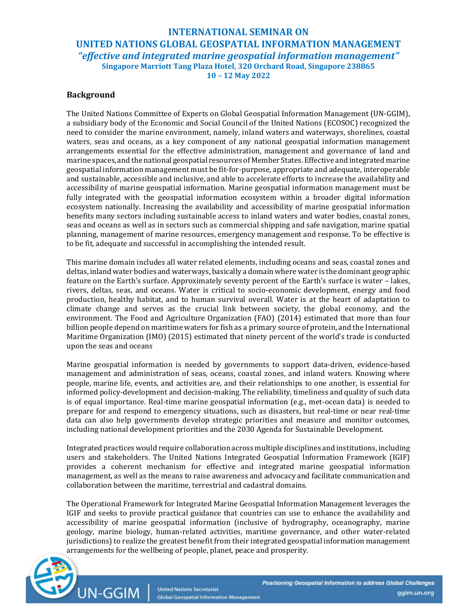# INTERNATIONAL SEMINAR ON UNITED NATIONS GLOBAL GEOSPATIAL INFORMATION MANAGEMENT "effective and integrated marine geospatial information management" Singapore Marriott Tang Plaza Hotel, 320 Orchard Road, Singapore 238865 10 – 12 May 2022

# Background

The United Nations Committee of Experts on Global Geospatial Information Management (UN-GGIM), a subsidiary body of the Economic and Social Council of the United Nations (ECOSOC) recognized the need to consider the marine environment, namely, inland waters and waterways, shorelines, coastal waters, seas and oceans, as a key component of any national geospatial information management arrangements essential for the effective administration, management and governance of land and marine spaces, and the national geospatial resources of Member States. Effective and integrated marine geospatial information management must be fit-for-purpose, appropriate and adequate, interoperable and sustainable, accessible and inclusive, and able to accelerate efforts to increase the availability and accessibility of marine geospatial information. Marine geospatial information management must be fully integrated with the geospatial information ecosystem within a broader digital information ecosystem nationally. Increasing the availability and accessibility of marine geospatial information benefits many sectors including sustainable access to inland waters and water bodies, coastal zones, seas and oceans as well as in sectors such as commercial shipping and safe navigation, marine spatial planning, management of marine resources, emergency management and response. To be effective is to be fit, adequate and successful in accomplishing the intended result.

This marine domain includes all water related elements, including oceans and seas, coastal zones and deltas, inland water bodies and waterways, basically a domain where water is the dominant geographic feature on the Earth's surface. Approximately seventy percent of the Earth's surface is water – lakes, rivers, deltas, seas, and oceans. Water is critical to socio-economic development, energy and food production, healthy habitat, and to human survival overall. Water is at the heart of adaptation to climate change and serves as the crucial link between society, the global economy, and the environment. The Food and Agriculture Organization (FAO) (2014) estimated that more than four billion people depend on maritime waters for fish as a primary source of protein, and the International Maritime Organization (IMO) (2015) estimated that ninety percent of the world's trade is conducted upon the seas and oceans

Marine geospatial information is needed by governments to support data-driven, evidence-based management and administration of seas, oceans, coastal zones, and inland waters. Knowing where people, marine life, events, and activities are, and their relationships to one another, is essential for informed policy-development and decision-making. The reliability, timeliness and quality of such data is of equal importance. Real-time marine geospatial information (e.g., met-ocean data) is needed to prepare for and respond to emergency situations, such as disasters, but real-time or near real-time data can also help governments develop strategic priorities and measure and monitor outcomes, including national development priorities and the 2030 Agenda for Sustainable Development.

Integrated practices would require collaboration across multiple disciplines and institutions, including users and stakeholders. The United Nations Integrated Geospatial Information Framework (IGIF) provides a coherent mechanism for effective and integrated marine geospatial information management, as well as the means to raise awareness and advocacy and facilitate communication and collaboration between the maritime, terrestrial and cadastral domains.

The Operational Framework for Integrated Marine Geospatial Information Management leverages the IGIF and seeks to provide practical guidance that countries can use to enhance the availability and accessibility of marine geospatial information (inclusive of hydrography, oceanography, marine geology, marine biology, human-related activities, maritime governance, and other water-related jurisdictions) to realize the greatest benefit from their integrated geospatial information management arrangements for the wellbeing of people, planet, peace and prosperity.

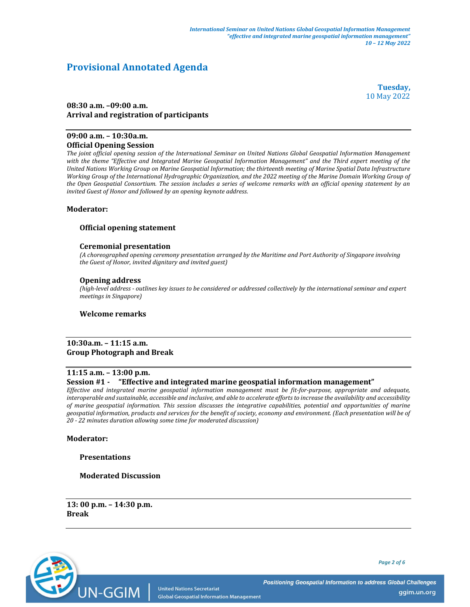# Provisional Annotated Agenda

Tuesday, 10 May 2022

# 08:30 a.m. –09:00 a.m. Arrival and registration of participants

#### 09:00 a.m. – 10:30a.m. Official Opening Session

The joint official opening session of the International Seminar on United Nations Global Geospatial Information Management with the theme "Effective and Integrated Marine Geospatial Information Management" and the Third expert meeting of the United Nations Working Group on Marine Geospatial Information; the thirteenth meeting of Marine Spatial Data Infrastructure Working Group of the International Hydrographic Organization, and the 2022 meeting of the Marine Domain Working Group of the Open Geospatial Consortium. The session includes a series of welcome remarks with an official opening statement by an invited Guest of Honor and followed by an opening keynote address.

# Moderator:

#### Official opening statement

#### Ceremonial presentation

(A choreographed opening ceremony presentation arranged by the Maritime and Port Authority of Singapore involving the Guest of Honor, invited dignitary and invited guest)

#### Opening address

(high-level address - outlines key issues to be considered or addressed collectively by the international seminar and expert meetings in Singapore)

#### Welcome remarks

#### 10:30a.m. – 11:15 a.m. Group Photograph and Break

# 11:15 a.m. – 13:00 p.m.

#### Session #1 - "Effective and integrated marine geospatial information management"

Effective and integrated marine geospatial information management must be fit-for-purpose, appropriate and adequate, interoperable and sustainable, accessible and inclusive, and able to accelerate efforts to increase the availability and accessibility of marine geospatial information. This session discusses the integrative capabilities, potential and opportunities of marine geospatial information, products and services for the benefit of society, economy and environment. (Each presentation will be of 20 - 22 minutes duration allowing some time for moderated discussion)

#### Moderator:

#### Presentations

### Moderated Discussion

13: 00 p.m. – 14:30 p.m. Break



Page 2 of 6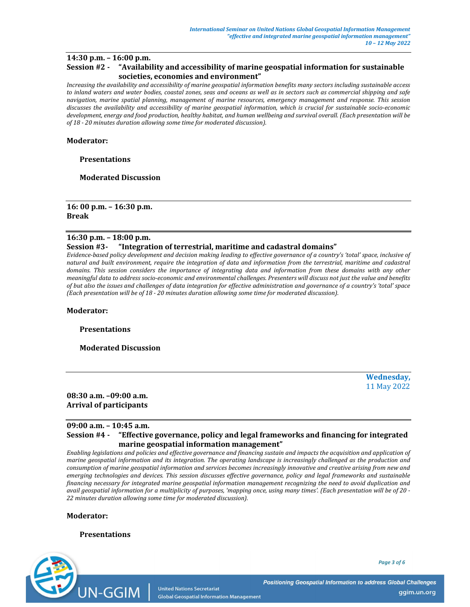# 14:30 p.m. – 16:00 p.m.

# Session #2 - "Availability and accessibility of marine geospatial information for sustainable societies, economies and environment"

Increasing the availability and accessibility of marine geospatial information benefits many sectors including sustainable access to inland waters and water bodies, coastal zones, seas and oceans as well as in sectors such as commercial shipping and safe navigation, marine spatial planning, management of marine resources, emergency management and response. This session discusses the availability and accessibility of marine geospatial information, which is crucial for sustainable socio-economic development, energy and food production, healthy habitat, and human wellbeing and survival overall. (Each presentation will be of 18 - 20 minutes duration allowing some time for moderated discussion).

### Moderator:

# Presentations

Moderated Discussion

16: 00 p.m. – 16:30 p.m. Break

# 16:30 p.m. – 18:00 p.m.

# Session #3- "Integration of terrestrial, maritime and cadastral domains"

Evidence-based policy development and decision making leading to effective governance of a country's 'total' space, inclusive of natural and built environment, require the integration of data and information from the terrestrial, maritime and cadastral domains. This session considers the importance of integrating data and information from these domains with any other meaningful data to address socio-economic and environmental challenges. Presenters will discuss not just the value and benefits of but also the issues and challenges of data integration for effective administration and governance of a country's 'total' space (Each presentation will be of 18 - 20 minutes duration allowing some time for moderated discussion).

#### Moderator:

Presentations

Moderated Discussion

Wednesday, 11 May 2022

08:30 a.m. –09:00 a.m. Arrival of participants

#### 09:00 a.m. – 10:45 a.m.

# Session #4 - "Effective governance, policy and legal frameworks and financing for integrated marine geospatial information management"

Enabling legislations and policies and effective governance and financing sustain and impacts the acquisition and application of marine geospatial information and its integration. The operating landscape is increasingly challenged as the production and consumption of marine geospatial information and services becomes increasingly innovative and creative arising from new and emerging technologies and devices. This session discusses effective governance, policy and legal frameworks and sustainable financing necessary for integrated marine geospatial information management recognizing the need to avoid duplication and avail geospatial information for a multiplicity of purposes, 'mapping once, using many times'. (Each presentation will be of 20 - 22 minutes duration allowing some time for moderated discussion).

#### Moderator:

# Presentations

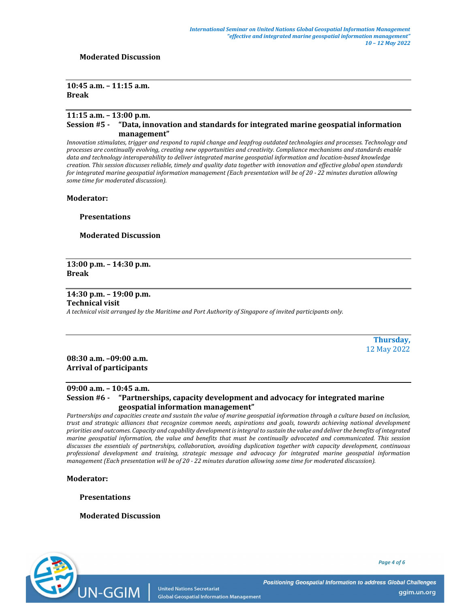#### Moderated Discussion

# 10:45 a.m. – 11:15 a.m. Break

# 11:15 a.m. – 13:00 p.m. Session #5 - "Data, innovation and standards for integrated marine geospatial information management"

Innovation stimulates, trigger and respond to rapid change and leapfrog outdated technologies and processes. Technology and processes are continually evolving, creating new opportunities and creativity. Compliance mechanisms and standards enable data and technology interoperability to deliver integrated marine geospatial information and location-based knowledge creation. This session discusses reliable, timely and quality data together with innovation and effective global open standards for integrated marine geospatial information management (Each presentation will be of 20 - 22 minutes duration allowing some time for moderated discussion).

Moderator:

Presentations

Moderated Discussion

13:00 p.m. – 14:30 p.m. Break

14:30 p.m. – 19:00 p.m.

#### Technical visit

A technical visit arranged by the Maritime and Port Authority of Singapore of invited participants only.

Thursday, 12 May 2022

08:30 a.m. –09:00 a.m. Arrival of participants

# 09:00 a.m. – 10:45 a.m. Session #6 - "Partnerships, capacity development and advocacy for integrated marine geospatial information management"

Partnerships and capacities create and sustain the value of marine geospatial information through a culture based on inclusion, trust and strategic alliances that recognize common needs, aspirations and goals, towards achieving national development priorities and outcomes. Capacity and capability development is integral to sustain the value and deliver the benefits of integrated marine geospatial information, the value and benefits that must be continually advocated and communicated. This session discusses the essentials of partnerships, collaboration, avoiding duplication together with capacity development, continuous professional development and training, strategic message and advocacy for integrated marine geospatial information management (Each presentation will be of 20 - 22 minutes duration allowing some time for moderated discussion).

Moderator:

UN-GGIM

Presentations

Moderated Discussion

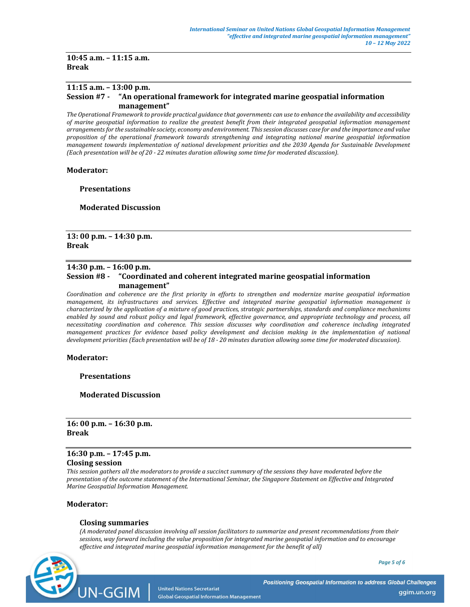10:45 a.m. – 11:15 a.m. Break

# 11:15 a.m. – 13:00 p.m. Session #7 - "An operational framework for integrated marine geospatial information management"

The Operational Framework to provide practical guidance that governments can use to enhance the availability and accessibility of marine geospatial information to realize the greatest benefit from their integrated geospatial information management arrangements for the sustainable society, economy and environment. This session discusses case for and the importance and value proposition of the operational framework towards strengthening and integrating national marine geospatial information management towards implementation of national development priorities and the 2030 Agenda for Sustainable Development (Each presentation will be of 20 - 22 minutes duration allowing some time for moderated discussion).

#### Moderator:

**Presentations** 

Moderated Discussion

### 13: 00 p.m. – 14:30 p.m. Break

# 14:30 p.m. – 16:00 p.m. Session #8 - "Coordinated and coherent integrated marine geospatial information management"

Coordination and coherence are the first priority in efforts to strengthen and modernize marine geospatial information management, its infrastructures and services. Effective and integrated marine geospatial information management is characterized by the application of a mixture of good practices, strategic partnerships, standards and compliance mechanisms enabled by sound and robust policy and legal framework, effective governance, and appropriate technology and process, all necessitating coordination and coherence. This session discusses why coordination and coherence including integrated management practices for evidence based policy development and decision making in the implementation of national development priorities (Each presentation will be of 18 - 20 minutes duration allowing some time for moderated discussion).

#### Moderator:

Presentations

Moderated Discussion

16: 00 p.m. – 16:30 p.m. Break

# 16:30 p.m. – 17:45 p.m. Closing session

This session gathers all the moderators to provide a succinct summary of the sessions they have moderated before the presentation of the outcome statement of the International Seminar, the Singapore Statement on Effective and Integrated Marine Geospatial Information Management.

#### Moderator:

#### Closing summaries

(A moderated panel discussion involving all session facilitators to summarize and present recommendations from their sessions, way forward including the value proposition for integrated marine geospatial information and to encourage effective and integrated marine geospatial information management for the benefit of all)



Page 5 of 6